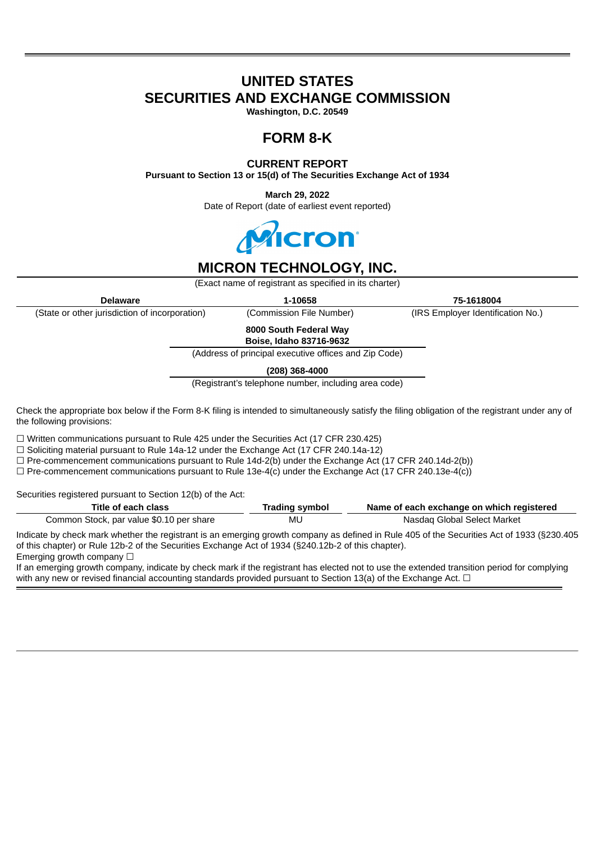# **UNITED STATES SECURITIES AND EXCHANGE COMMISSION**

**Washington, D.C. 20549**

# **FORM 8-K**

## **CURRENT REPORT**

**Pursuant to Section 13 or 15(d) of The Securities Exchange Act of 1934**

**March 29, 2022** Date of Report (date of earliest event reported)



# **MICRON TECHNOLOGY, INC.**

(Exact name of registrant as specified in its charter)

**Delaware 1-10658 75-1618004**

(State or other jurisdiction of incorporation) (Commission File Number) (IRS Employer Identification No.)

**8000 South Federal Way**

**Boise, Idaho 83716-9632**

(Address of principal executive offices and Zip Code)

**(208) 368-4000**

(Registrant's telephone number, including area code)

Check the appropriate box below if the Form 8-K filing is intended to simultaneously satisfy the filing obligation of the registrant under any of the following provisions:

 $\Box$  Written communications pursuant to Rule 425 under the Securities Act (17 CFR 230.425)

☐ Soliciting material pursuant to Rule 14a-12 under the Exchange Act (17 CFR 240.14a-12)

 $\Box$  Pre-commencement communications pursuant to Rule 14d-2(b) under the Exchange Act (17 CFR 240.14d-2(b))

 $\Box$  Pre-commencement communications pursuant to Rule 13e-4(c) under the Exchange Act (17 CFR 240.13e-4(c))

Securities registered pursuant to Section 12(b) of the Act:

| Title of each class                      | Trading symbol | Name of each exchange on which registered |
|------------------------------------------|----------------|-------------------------------------------|
| Common Stock, par value \$0.10 per share | MU             | Nasdag Global Select Market               |
|                                          |                |                                           |

Indicate by check mark whether the registrant is an emerging growth company as defined in Rule 405 of the Securities Act of 1933 (§230.405 of this chapter) or Rule 12b-2 of the Securities Exchange Act of 1934 (§240.12b-2 of this chapter). Emerging growth company  $\Box$ 

If an emerging growth company, indicate by check mark if the registrant has elected not to use the extended transition period for complying with any new or revised financial accounting standards provided pursuant to Section 13(a) of the Exchange Act.  $\Box$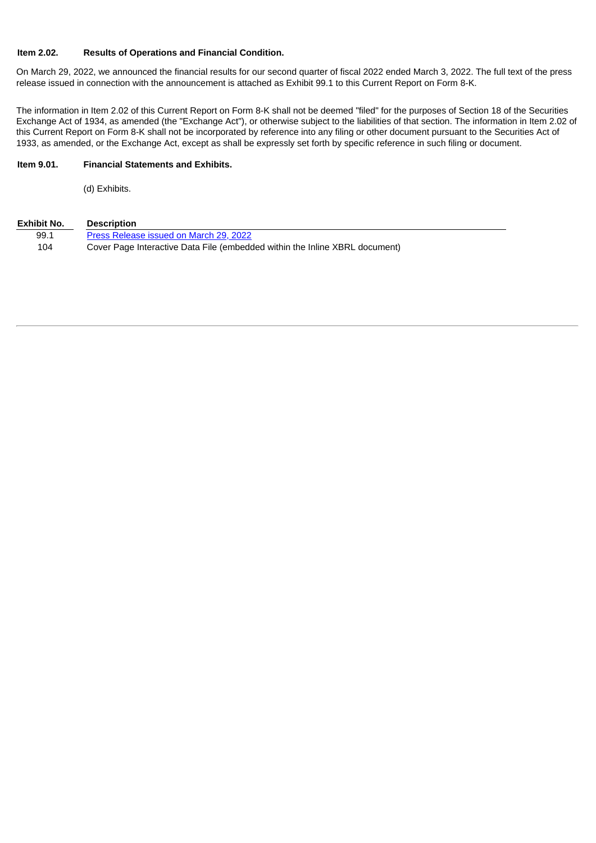# **Item 2.02. Results of Operations and Financial Condition.**

On March 29, 2022, we announced the financial results for our second quarter of fiscal 2022 ended March 3, 2022. The full text of the press release issued in connection with the announcement is attached as Exhibit 99.1 to this Current Report on Form 8-K.

The information in Item 2.02 of this Current Report on Form 8-K shall not be deemed "filed" for the purposes of Section 18 of the Securities Exchange Act of 1934, as amended (the "Exchange Act"), or otherwise subject to the liabilities of that section. The information in Item 2.02 of this Current Report on Form 8-K shall not be incorporated by reference into any filing or other document pursuant to the Securities Act of 1933, as amended, or the Exchange Act, except as shall be expressly set forth by specific reference in such filing or document.

## **Item 9.01. Financial Statements and Exhibits.**

(d) Exhibits.

| Exhibit No. | <b>Description</b>                                                          |
|-------------|-----------------------------------------------------------------------------|
| 99.1        | Press Release issued on March 29, 2022                                      |
| 104         | Cover Page Interactive Data File (embedded within the Inline XBRL document) |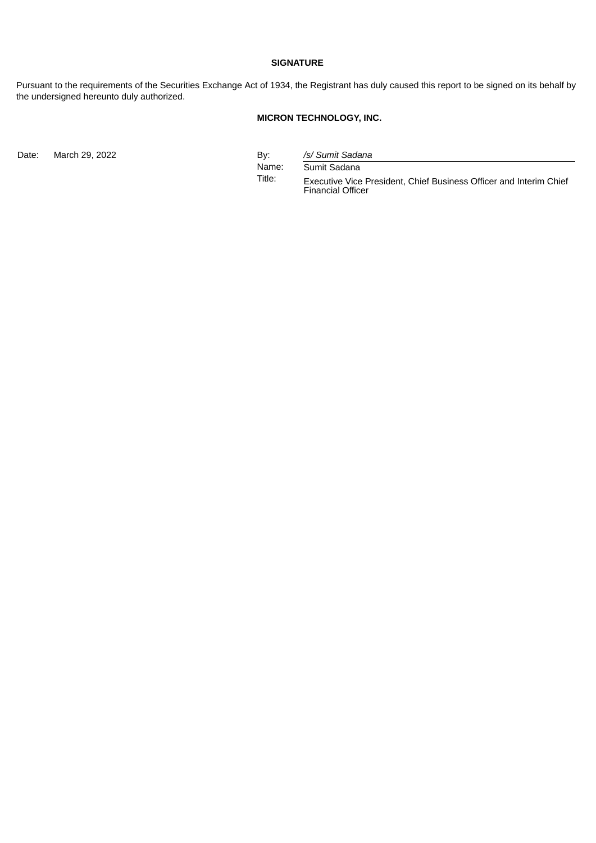### **SIGNATURE**

Pursuant to the requirements of the Securities Exchange Act of 1934, the Registrant has duly caused this report to be signed on its behalf by the undersigned hereunto duly authorized.

## **MICRON TECHNOLOGY, INC.**

Date: March 29, 2022 **By:** By: */s/ Sumit Sadana* 

Name: Sumit Sadana

Title: Executive Vice President, Chief Business Officer and Interim Chief Financial Officer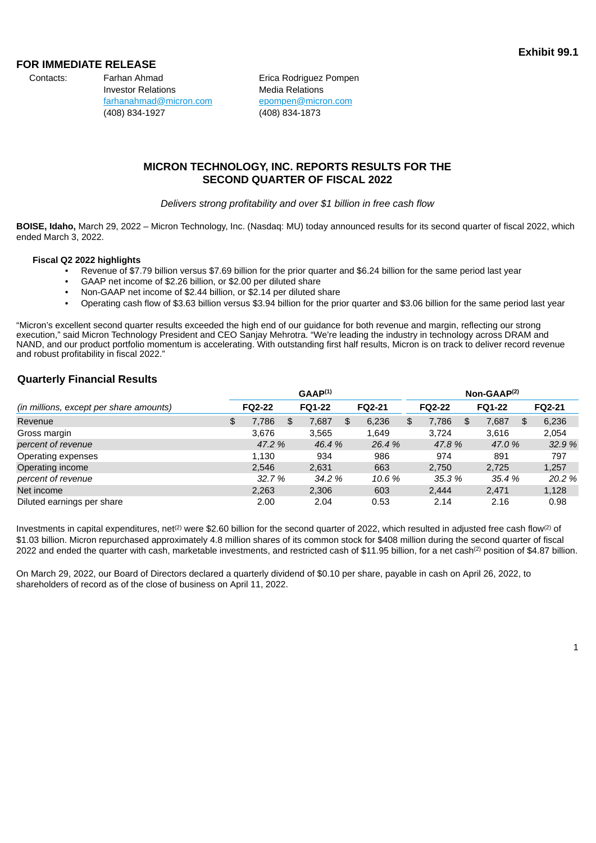# <span id="page-3-0"></span>**FOR IMMEDIATE RELEASE**

Contacts: Farhan Ahmad Erica Rodriguez Pompen **Investor Relations** Media Relations farhanahmad@micron.com epompen@micron.com (408) 834-1927 (408) 834-1873

# **MICRON TECHNOLOGY, INC. REPORTS RESULTS FOR THE SECOND QUARTER OF FISCAL 2022**

*Delivers strong profitability and over \$1 billion in free cash flow*

**BOISE, Idaho,** March 29, 2022 – Micron Technology, Inc. (Nasdaq: MU) today announced results for its second quarter of fiscal 2022, which ended March 3, 2022.

#### **Fiscal Q2 2022 highlights**

- Revenue of \$7.79 billion versus \$7.69 billion for the prior quarter and \$6.24 billion for the same period last year
- GAAP net income of \$2.26 billion, or \$2.00 per diluted share
- Non-GAAP net income of \$2.44 billion, or \$2.14 per diluted share
- Operating cash flow of \$3.63 billion versus \$3.94 billion for the prior quarter and \$3.06 billion for the same period last year

"Micron's excellent second quarter results exceeded the high end of our guidance for both revenue and margin, reflecting our strong execution," said Micron Technology President and CEO Sanjay Mehrotra. "We're leading the industry in technology across DRAM and NAND, and our product portfolio momentum is accelerating. With outstanding first half results, Micron is on track to deliver record revenue and robust profitability in fiscal 2022."

# **Quarterly Financial Results**

|                                         |               | GAMP <sup>(1)</sup> |             |               | Non-GAAP <sup>(2)</sup> |             |
|-----------------------------------------|---------------|---------------------|-------------|---------------|-------------------------|-------------|
| (in millions, except per share amounts) | <b>FO2-22</b> | FO1-22              | FO2-21      | <b>FO2-22</b> | FO1-22                  | FO2-21      |
| Revenue                                 | \$<br>7,786   | \$<br>7,687         | \$<br>6,236 | \$<br>7,786   | \$<br>7,687             | \$<br>6,236 |
| Gross margin                            | 3.676         | 3.565               | 1.649       | 3.724         | 3,616                   | 2.054       |
| percent of revenue                      | 47.2 %        | 46.4 %              | 26.4 %      | 47.8%         | 47.0 %                  | 32.9 %      |
| Operating expenses                      | 1.130         | 934                 | 986         | 974           | 891                     | 797         |
| Operating income                        | 2.546         | 2.631               | 663         | 2.750         | 2.725                   | 1,257       |
| percent of revenue                      | 32.7%         | 34.2 %              | 10.6 %      | 35.3%         | 35.4 %                  | 20.2 %      |
| Net income                              | 2,263         | 2,306               | 603         | 2,444         | 2,471                   | 1,128       |
| Diluted earnings per share              | 2.00          | 2.04                | 0.53        | 2.14          | 2.16                    | 0.98        |

Investments in capital expenditures, net<sup>(2)</sup> were \$2.60 billion for the second quarter of 2022, which resulted in adjusted free cash flow<sup>(2)</sup> of \$1.03 billion. Micron repurchased approximately 4.8 million shares of its common stock for \$408 million during the second quarter of fiscal 2022 and ended the quarter with cash, marketable investments, and restricted cash of \$11.95 billion, for a net cash<sup>(2)</sup> position of \$4.87 billion.

On March 29, 2022, our Board of Directors declared a quarterly dividend of \$0.10 per share, payable in cash on April 26, 2022, to shareholders of record as of the close of business on April 11, 2022.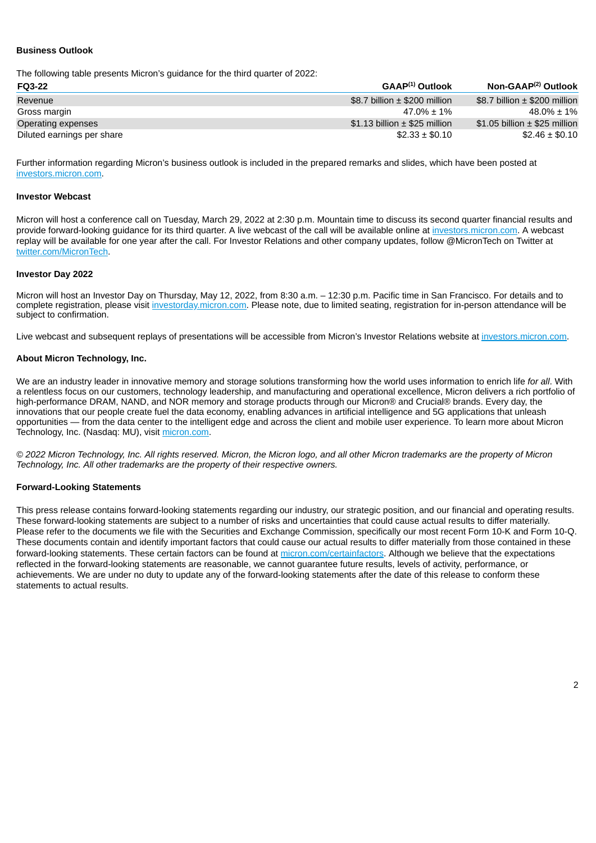#### **Business Outlook**

The following table presents Micron's guidance for the third quarter of 2022:

| <b>FQ3-22</b>              | GAAP <sup>(1)</sup> Outlook         | Non-GAAP <sup>(2)</sup> Outlook    |
|----------------------------|-------------------------------------|------------------------------------|
| Revenue                    | $\$8.7$ billion $\pm$ \$200 million | \$8.7 billion $\pm$ \$200 million  |
| Gross margin               | $47.0\% \pm 1\%$                    | 48.0% ± 1%                         |
| Operating expenses         | $$1.13$ billion $\pm$ \$25 million  | $$1.05$ billion $\pm$ \$25 million |
| Diluted earnings per share | $$2.33 \pm $0.10$                   | $$2.46 \pm $0.10$                  |

Further information regarding Micron's business outlook is included in the prepared remarks and slides, which have been posted at investors.micron.com.

#### **Investor Webcast**

Micron will host a conference call on Tuesday, March 29, 2022 at 2:30 p.m. Mountain time to discuss its second quarter financial results and provide forward-looking guidance for its third quarter. A live webcast of the call will be available online at investors.micron.com. A webcast replay will be available for one year after the call. For Investor Relations and other company updates, follow @MicronTech on Twitter at twitter.com/MicronTech.

#### **Investor Day 2022**

Micron will host an Investor Day on Thursday, May 12, 2022, from 8:30 a.m. – 12:30 p.m. Pacific time in San Francisco. For details and to complete registration, please visit investorday.micron.com. Please note, due to limited seating, registration for in-person attendance will be subject to confirmation.

Live webcast and subsequent replays of presentations will be accessible from Micron's Investor Relations website at investors.micron.com.

#### **About Micron Technology, Inc.**

We are an industry leader in innovative memory and storage solutions transforming how the world uses information to enrich life *for all*. With a relentless focus on our customers, technology leadership, and manufacturing and operational excellence, Micron delivers a rich portfolio of high-performance DRAM, NAND, and NOR memory and storage products through our Micron® and Crucial® brands. Every day, the innovations that our people create fuel the data economy, enabling advances in artificial intelligence and 5G applications that unleash opportunities — from the data center to the intelligent edge and across the client and mobile user experience. To learn more about Micron Technology, Inc. (Nasdaq: MU), visit micron.com.

© 2022 Micron Technology, Inc. All rights reserved. Micron, the Micron logo, and all other Micron trademarks are the property of Micron *Technology, Inc. All other trademarks are the property of their respective owners.*

#### **Forward-Looking Statements**

This press release contains forward-looking statements regarding our industry, our strategic position, and our financial and operating results. These forward-looking statements are subject to a number of risks and uncertainties that could cause actual results to differ materially. Please refer to the documents we file with the Securities and Exchange Commission, specifically our most recent Form 10-K and Form 10-Q. These documents contain and identify important factors that could cause our actual results to differ materially from those contained in these forward-looking statements. These certain factors can be found at micron.com/certainfactors. Although we believe that the expectations reflected in the forward-looking statements are reasonable, we cannot guarantee future results, levels of activity, performance, or achievements. We are under no duty to update any of the forward-looking statements after the date of this release to conform these statements to actual results.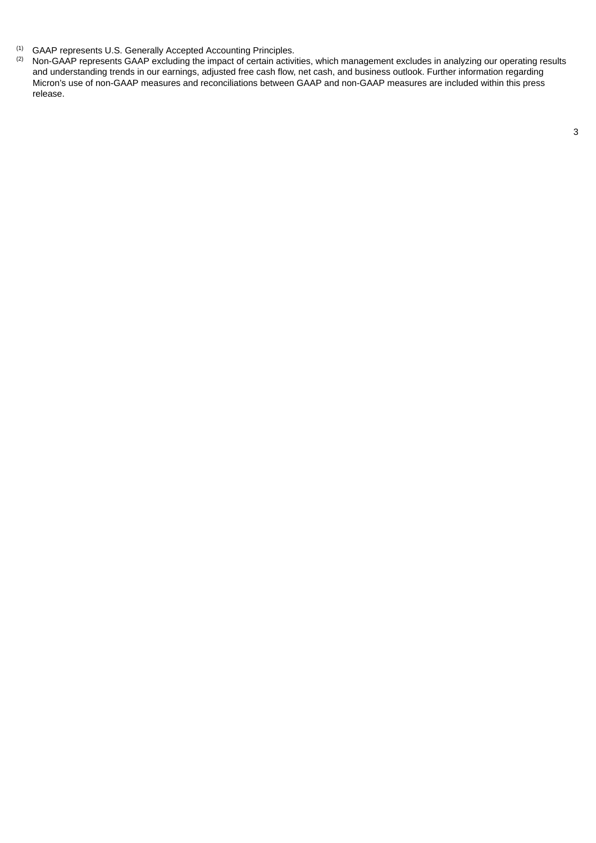- $<sup>(1)</sup>$  GAAP represents U.S. Generally Accepted Accounting Principles.</sup>
- Non-GAAP represents GAAP excluding the impact of certain activities, which management excludes in analyzing our operating results and understanding trends in our earnings, adjusted free cash flow, net cash, and business outlook. Further information regarding Micron's use of non-GAAP measures and reconciliations between GAAP and non-GAAP measures are included within this press release. (2)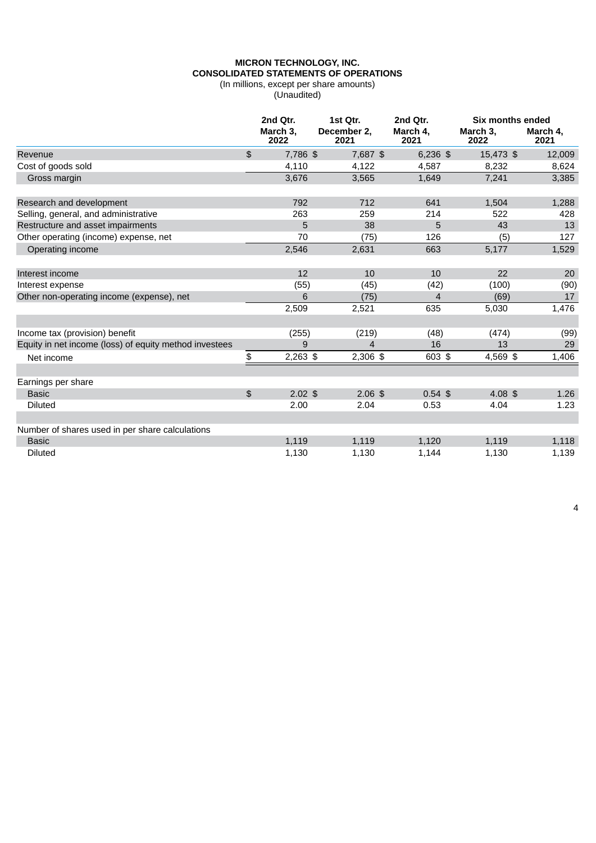# **MICRON TECHNOLOGY, INC. CONSOLIDATED STATEMENTS OF OPERATIONS**

(In millions, except per share amounts)

(Unaudited)

|                                                        |               | 2nd Qtr.         | 1st Qtr.            | 2nd Qtr.         |                  | Six months ended |
|--------------------------------------------------------|---------------|------------------|---------------------|------------------|------------------|------------------|
|                                                        |               | March 3,<br>2022 | December 2,<br>2021 | March 4,<br>2021 | March 3,<br>2022 | March 4,<br>2021 |
| Revenue                                                | $\frac{1}{2}$ | 7,786 \$         | 7,687 \$            | $6,236$ \$       | 15,473 \$        | 12,009           |
| Cost of goods sold                                     |               | 4,110            | 4,122               | 4,587            | 8,232            | 8,624            |
| Gross margin                                           |               | 3.676            | 3.565               | 1,649            | 7.241            | 3,385            |
| Research and development                               |               | 792              | 712                 | 641              | 1,504            | 1,288            |
| Selling, general, and administrative                   |               | 263              | 259                 | 214              | 522              | 428              |
| Restructure and asset impairments                      |               | 5                | 38                  | 5                | 43               | 13               |
| Other operating (income) expense, net                  |               | 70               | (75)                | 126              | (5)              | 127              |
| Operating income                                       |               | 2,546            | 2,631               | 663              | 5,177            | 1,529            |
| Interest income                                        |               | 12               | 10                  | 10               | 22               | 20               |
| Interest expense                                       |               | (55)             | (45)                | (42)             | (100)            | (90)             |
| Other non-operating income (expense), net              |               | 6                | (75)                | 4                | (69)             | 17               |
|                                                        |               | 2,509            | 2,521               | 635              | 5,030            | 1,476            |
| Income tax (provision) benefit                         |               | (255)            | (219)               | (48)             | (474)            | (99)             |
| Equity in net income (loss) of equity method investees |               | 9                | 4                   | 16               | 13               | 29               |
| Net income                                             | \$            | $2,263$ \$       | 2,306 \$            | 603 \$           | 4,569 \$         | 1,406            |
| Earnings per share                                     |               |                  |                     |                  |                  |                  |
| <b>Basic</b>                                           | \$            | $2.02$ \$        | $2.06$ \$           | $0.54$ \$        | $4.08$ \$        | 1.26             |
| <b>Diluted</b>                                         |               | 2.00             | 2.04                | 0.53             | 4.04             | 1.23             |
| Number of shares used in per share calculations        |               |                  |                     |                  |                  |                  |
| <b>Basic</b>                                           |               | 1,119            | 1,119               | 1.120            | 1,119            | 1,118            |
| <b>Diluted</b>                                         |               | 1,130            | 1.130               | 1,144            | 1,130            | 1,139            |

4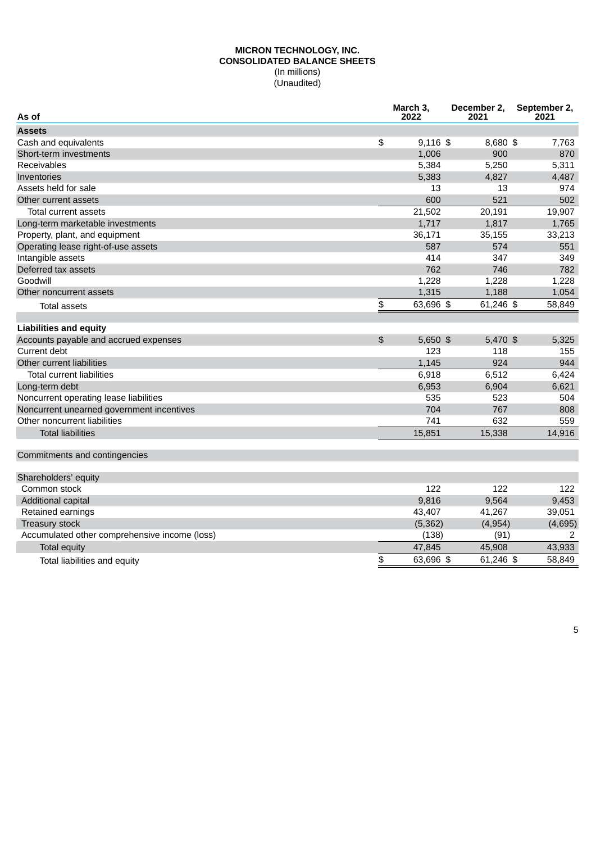## **MICRON TECHNOLOGY, INC. CONSOLIDATED BALANCE SHEETS** (In millions) (Unaudited)

| As of                                         | March 3,<br>2022 | December 2,<br>2021 | September 2,<br>2021 |
|-----------------------------------------------|------------------|---------------------|----------------------|
| <b>Assets</b>                                 |                  |                     |                      |
| \$<br>Cash and equivalents                    | $9.116$ \$       | 8,680 \$            | 7,763                |
| Short-term investments                        | 1,006            | 900                 | 870                  |
| Receivables                                   | 5,384            | 5,250               | 5,311                |
| Inventories                                   | 5,383            | 4,827               | 4,487                |
| Assets held for sale                          | 13               | 13                  | 974                  |
| Other current assets                          | 600              | 521                 | 502                  |
| Total current assets                          | 21,502           | 20,191              | 19,907               |
| Long-term marketable investments              | 1.717            | 1.817               | 1,765                |
| Property, plant, and equipment                | 36,171           | 35,155              | 33,213               |
| Operating lease right-of-use assets           | 587              | 574                 | 551                  |
| Intangible assets                             | 414              | 347                 | 349                  |
| Deferred tax assets                           | 762              | 746                 | 782                  |
| Goodwill                                      | 1,228            | 1,228               | 1,228                |
| Other noncurrent assets                       | 1,315            | 1,188               | 1.054                |
| \$<br><b>Total assets</b>                     | 63,696 \$        | 61,246 \$           | 58,849               |
| <b>Liabilities and equity</b>                 |                  |                     |                      |
| Accounts payable and accrued expenses<br>\$   | $5,650$ \$       | 5,470 \$            | 5,325                |
| Current debt                                  | 123              | 118                 | 155                  |
| Other current liabilities                     | 1,145            | 924                 | 944                  |
| <b>Total current liabilities</b>              | 6,918            | 6,512               | 6,424                |
| Long-term debt                                | 6,953            | 6,904               | 6,621                |
| Noncurrent operating lease liabilities        | 535              | 523                 | 504                  |
| Noncurrent unearned government incentives     | 704              | 767                 | 808                  |
| Other noncurrent liabilities                  | 741              | 632                 | 559                  |
| <b>Total liabilities</b>                      | 15,851           | 15,338              | 14,916               |
| Commitments and contingencies                 |                  |                     |                      |
| Shareholders' equity                          |                  |                     |                      |
| Common stock                                  | 122              | 122                 | 122                  |
| Additional capital                            | 9,816            | 9,564               | 9,453                |
| Retained earnings                             | 43,407           | 41,267              | 39,051               |
| <b>Treasury stock</b>                         | (5, 362)         | (4,954)             | (4,695)              |
| Accumulated other comprehensive income (loss) | (138)            | (91)                | 2                    |
| <b>Total equity</b>                           | 47,845           | 45,908              | 43,933               |
| \$<br>Total liabilities and equity            | 63,696 \$        | 61,246 \$           | 58,849               |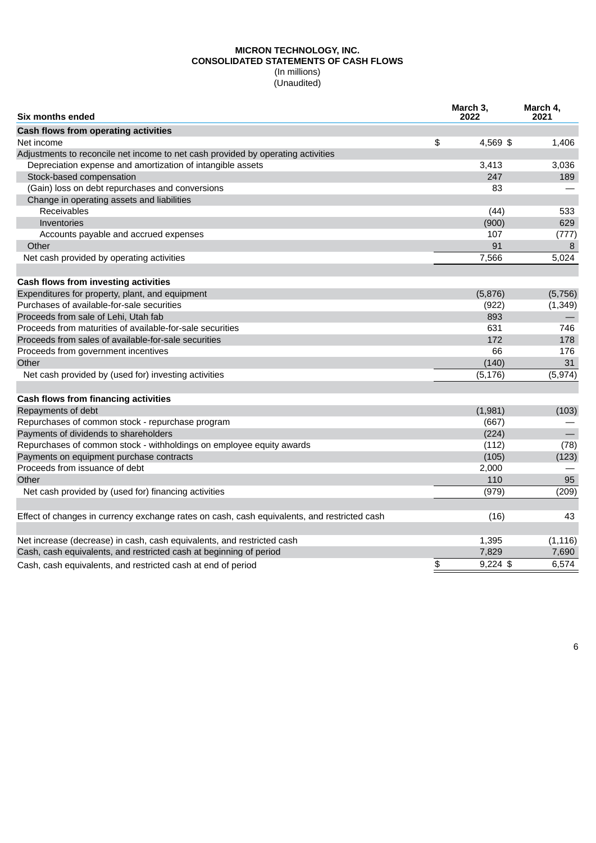### **MICRON TECHNOLOGY, INC. CONSOLIDATED STATEMENTS OF CASH FLOWS** (In millions) (Unaudited)

| Six months ended                                                                            | March 3,<br>2022 | March 4,<br>2021         |
|---------------------------------------------------------------------------------------------|------------------|--------------------------|
| Cash flows from operating activities                                                        |                  |                          |
| Net income                                                                                  | \$<br>4,569 \$   | 1,406                    |
| Adjustments to reconcile net income to net cash provided by operating activities            |                  |                          |
| Depreciation expense and amortization of intangible assets                                  | 3,413            | 3,036                    |
| Stock-based compensation                                                                    | 247              | 189                      |
| (Gain) loss on debt repurchases and conversions                                             | 83               |                          |
| Change in operating assets and liabilities                                                  |                  |                          |
| Receivables                                                                                 | (44)             | 533                      |
| Inventories                                                                                 | (900)            | 629                      |
| Accounts payable and accrued expenses                                                       | 107              | (777)                    |
| Other                                                                                       | 91               | 8                        |
| Net cash provided by operating activities                                                   | 7,566            | 5,024                    |
|                                                                                             |                  |                          |
| Cash flows from investing activities                                                        |                  |                          |
| Expenditures for property, plant, and equipment                                             | (5,876)          | (5,756)                  |
| Purchases of available-for-sale securities                                                  | (922)            | (1, 349)                 |
| Proceeds from sale of Lehi, Utah fab                                                        | 893              |                          |
| Proceeds from maturities of available-for-sale securities                                   | 631              | 746                      |
| Proceeds from sales of available-for-sale securities                                        | 172              | 178                      |
| Proceeds from government incentives                                                         | 66               | 176                      |
| Other                                                                                       | (140)            | 31                       |
| Net cash provided by (used for) investing activities                                        | (5, 176)         | (5, 974)                 |
|                                                                                             |                  |                          |
| Cash flows from financing activities                                                        |                  |                          |
| Repayments of debt                                                                          | (1,981)          | (103)                    |
| Repurchases of common stock - repurchase program                                            | (667)            |                          |
| Payments of dividends to shareholders                                                       | (224)            | $\overline{\phantom{0}}$ |
| Repurchases of common stock - withholdings on employee equity awards                        | (112)            | (78)                     |
| Payments on equipment purchase contracts                                                    | (105)            | (123)                    |
| Proceeds from issuance of debt                                                              | 2,000            |                          |
| Other                                                                                       | 110              | 95                       |
| Net cash provided by (used for) financing activities                                        | (979)            | (209)                    |
|                                                                                             |                  |                          |
| Effect of changes in currency exchange rates on cash, cash equivalents, and restricted cash | (16)             | 43                       |
|                                                                                             |                  |                          |
| Net increase (decrease) in cash, cash equivalents, and restricted cash                      | 1,395            | (1, 116)                 |
| Cash, cash equivalents, and restricted cash at beginning of period                          | 7,829            | 7,690                    |
| Cash, cash equivalents, and restricted cash at end of period                                | \$<br>$9,224$ \$ | 6,574                    |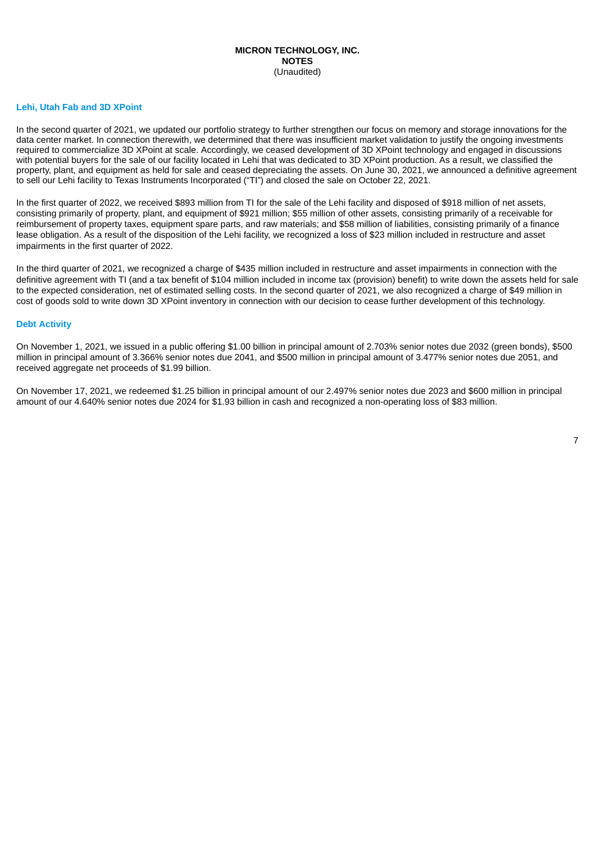#### **MICRON TECHNOLOGY, INC. NOTES** (Unaudited)

#### **Lehi, Utah Fab and 3D XPoint**

In the second quarter of 2021, we updated our portfolio strategy to further strengthen our focus on memory and storage innovations for the data center market. In connection therewith, we determined that there was insufficient market validation to justify the ongoing investments required to commercialize 3D XPoint at scale. Accordingly, we ceased development of 3D XPoint technology and engaged in discussions with potential buyers for the sale of our facility located in Lehi that was dedicated to 3D XPoint production. As a result, we classified the property, plant, and equipment as held for sale and ceased depreciating the assets. On June 30, 2021, we announced a definitive agreement to sell our Lehi facility to Texas Instruments Incorporated ("TI") and closed the sale on October 22, 2021.

In the first quarter of 2022, we received \$893 million from TI for the sale of the Lehi facility and disposed of \$918 million of net assets, consisting primarily of property, plant, and equipment of \$921 million; \$55 million of other assets, consisting primarily of a receivable for reimbursement of property taxes, equipment spare parts, and raw materials; and \$58 million of liabilities, consisting primarily of a finance lease obligation. As a result of the disposition of the Lehi facility, we recognized a loss of \$23 million included in restructure and asset impairments in the first quarter of 2022.

In the third quarter of 2021, we recognized a charge of \$435 million included in restructure and asset impairments in connection with the definitive agreement with TI (and a tax benefit of \$104 million included in income tax (provision) benefit) to write down the assets held for sale to the expected consideration, net of estimated selling costs. In the second quarter of 2021, we also recognized a charge of \$49 million in cost of goods sold to write down 3D XPoint inventory in connection with our decision to cease further development of this technology.

#### **Debt Activity**

On November 1, 2021, we issued in a public offering \$1.00 billion in principal amount of 2.703% senior notes due 2032 (green bonds), \$500 million in principal amount of 3.366% senior notes due 2041, and \$500 million in principal amount of 3.477% senior notes due 2051, and received aggregate net proceeds of \$1.99 billion.

On November 17, 2021, we redeemed \$1.25 billion in principal amount of our 2.497% senior notes due 2023 and \$600 million in principal amount of our 4.640% senior notes due 2024 for \$1.93 billion in cash and recognized a non-operating loss of \$83 million.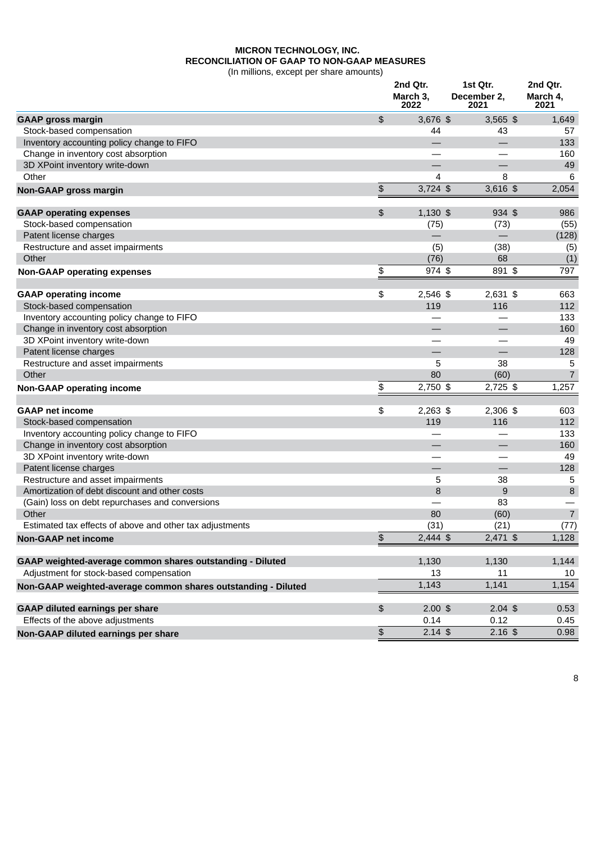## **MICRON TECHNOLOGY, INC. RECONCILIATION OF GAAP TO NON-GAAP MEASURES** (In millions, except per share amounts)

|                                                               |                      | 2nd Qtr.<br>March 3,<br>2022 | 1st Qtr.<br>December 2,<br>2021 | 2nd Qtr.<br>March 4,<br>2021 |
|---------------------------------------------------------------|----------------------|------------------------------|---------------------------------|------------------------------|
| <b>GAAP gross margin</b>                                      | $\frac{1}{2}$        | $3,676$ \$                   | $3,565$ \$                      | 1,649                        |
| Stock-based compensation                                      |                      | 44                           | 43                              | 57                           |
| Inventory accounting policy change to FIFO                    |                      |                              |                                 | 133                          |
| Change in inventory cost absorption                           |                      |                              |                                 | 160                          |
| 3D XPoint inventory write-down                                |                      |                              |                                 | 49                           |
| Other                                                         |                      | 4                            | 8                               | 6                            |
| Non-GAAP gross margin                                         | $\pmb{\mathfrak{P}}$ | $3,724$ \$                   | $3,616$ \$                      | 2,054                        |
| <b>GAAP operating expenses</b>                                | $\frac{2}{3}$        | $1,130$ \$                   | 934 \$                          | 986                          |
| Stock-based compensation                                      |                      | (75)                         | (73)                            | (55)                         |
| Patent license charges                                        |                      |                              |                                 | (128)                        |
| Restructure and asset impairments                             |                      | (5)                          | (38)                            | (5)                          |
| Other                                                         |                      | (76)                         | 68                              | (1)                          |
| <b>Non-GAAP operating expenses</b>                            | \$                   | 974 \$                       | 891 \$                          | 797                          |
| <b>GAAP operating income</b>                                  | \$                   | 2,546 \$                     | 2,631 \$                        | 663                          |
| Stock-based compensation                                      |                      | 119                          | 116                             | 112                          |
| Inventory accounting policy change to FIFO                    |                      |                              |                                 | 133                          |
| Change in inventory cost absorption                           |                      |                              |                                 | 160                          |
| 3D XPoint inventory write-down                                |                      | —                            |                                 | 49                           |
| Patent license charges                                        |                      |                              |                                 | 128                          |
| Restructure and asset impairments                             |                      | 5                            | 38                              | 5                            |
| Other                                                         |                      | 80                           | (60)                            | $\overline{7}$               |
| <b>Non-GAAP operating income</b>                              | \$                   | 2,750 \$                     | $2,725$ \$                      | 1,257                        |
| <b>GAAP net income</b>                                        | \$                   | $2,263$ \$                   | 2,306 \$                        | 603                          |
| Stock-based compensation                                      |                      | 119                          | 116                             | 112                          |
| Inventory accounting policy change to FIFO                    |                      |                              |                                 | 133                          |
| Change in inventory cost absorption                           |                      |                              |                                 | 160                          |
| 3D XPoint inventory write-down                                |                      |                              |                                 | 49                           |
| Patent license charges                                        |                      |                              |                                 | 128                          |
| Restructure and asset impairments                             |                      | 5                            | 38                              | 5                            |
| Amortization of debt discount and other costs                 |                      | 8                            | 9                               | 8                            |
| (Gain) loss on debt repurchases and conversions               |                      |                              | 83                              |                              |
| Other                                                         |                      | 80                           | (60)                            | $\overline{7}$               |
| Estimated tax effects of above and other tax adjustments      |                      | (31)                         | (21)                            | (77)                         |
| Non-GAAP net income                                           | $\pmb{\$}$           | $2,444$ \$                   | $2,471$ \$                      | 1,128                        |
| GAAP weighted-average common shares outstanding - Diluted     |                      | 1,130                        | 1,130                           | 1,144                        |
| Adjustment for stock-based compensation                       |                      | 13                           | 11                              | 10                           |
| Non-GAAP weighted-average common shares outstanding - Diluted |                      | 1,143                        | 1,141                           | 1,154                        |
| <b>GAAP diluted earnings per share</b>                        | $\frac{1}{2}$        | $2.00$ \$                    | $2.04$ \$                       | 0.53                         |
| Effects of the above adjustments                              |                      | 0.14                         | 0.12                            | 0.45                         |
| Non-GAAP diluted earnings per share                           | $\, \, \$$           | $2.14$ \$                    | $2.16$ \$                       | 0.98                         |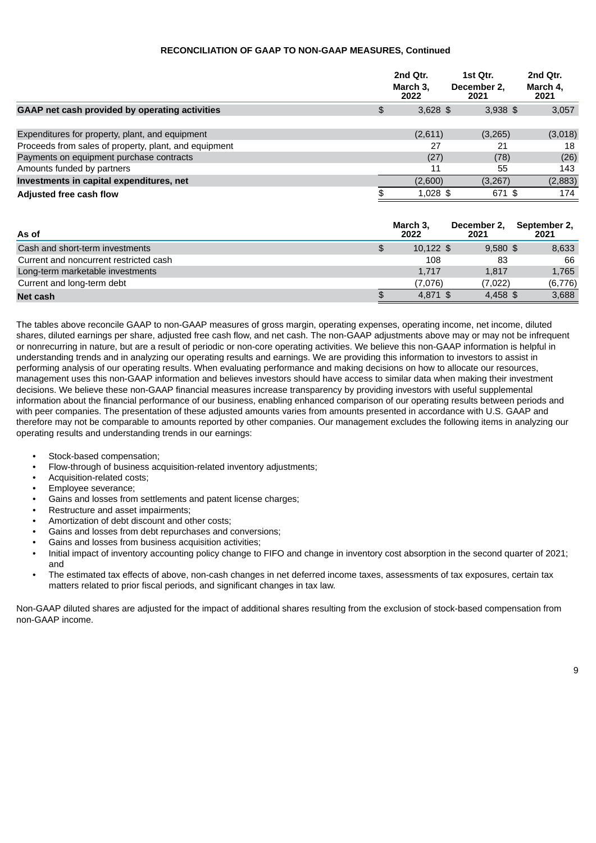## **RECONCILIATION OF GAAP TO NON-GAAP MEASURES, Continued**

|                                                       | 2nd Otr.<br>March 3,<br>2022 | 1st Otr.<br>December 2.<br>2021 | 2nd Otr.<br>March 4,<br>2021 |
|-------------------------------------------------------|------------------------------|---------------------------------|------------------------------|
| GAAP net cash provided by operating activities        | \$<br>$3.628$ \$             | $3,938$ \$                      | 3,057                        |
|                                                       |                              |                                 |                              |
| Expenditures for property, plant, and equipment       | (2,611)                      | (3,265)                         | (3,018)                      |
| Proceeds from sales of property, plant, and equipment | 27                           | 21                              | 18                           |
| Payments on equipment purchase contracts              | (27)                         | (78)                            | (26)                         |
| Amounts funded by partners                            | 11                           | 55                              | 143                          |
| Investments in capital expenditures, net              | (2,600)                      | (3,267)                         | (2,883)                      |
| Adjusted free cash flow                               | \$<br>$1.028$ \$             | 671 \$                          | 174                          |

| As of                                  | March 3,<br>2022  | December 2,<br>2021 | September 2,<br>2021 |
|----------------------------------------|-------------------|---------------------|----------------------|
| Cash and short-term investments        | \$<br>$10,122$ \$ | $9,580$ \$          | 8,633                |
| Current and noncurrent restricted cash | 108               | 83                  | 66                   |
| Long-term marketable investments       | 1.717             | 1,817               | 1,765                |
| Current and long-term debt             | (7.076)           | (7.022)             | (6, 776)             |
| Net cash                               | 4.871 \$          | 4.458 \$            | 3,688                |

The tables above reconcile GAAP to non-GAAP measures of gross margin, operating expenses, operating income, net income, diluted shares, diluted earnings per share, adjusted free cash flow, and net cash. The non-GAAP adjustments above may or may not be infrequent or nonrecurring in nature, but are a result of periodic or non-core operating activities. We believe this non-GAAP information is helpful in understanding trends and in analyzing our operating results and earnings. We are providing this information to investors to assist in performing analysis of our operating results. When evaluating performance and making decisions on how to allocate our resources, management uses this non-GAAP information and believes investors should have access to similar data when making their investment decisions. We believe these non-GAAP financial measures increase transparency by providing investors with useful supplemental information about the financial performance of our business, enabling enhanced comparison of our operating results between periods and with peer companies. The presentation of these adjusted amounts varies from amounts presented in accordance with U.S. GAAP and therefore may not be comparable to amounts reported by other companies. Our management excludes the following items in analyzing our operating results and understanding trends in our earnings:

- Stock-based compensation:
- Flow-through of business acquisition-related inventory adjustments;
- Acquisition-related costs;
- Employee severance;
- Gains and losses from settlements and patent license charges;
- Restructure and asset impairments;
- Amortization of debt discount and other costs;
- Gains and losses from debt repurchases and conversions;
- Gains and losses from business acquisition activities;
- Initial impact of inventory accounting policy change to FIFO and change in inventory cost absorption in the second quarter of 2021; and
- The estimated tax effects of above, non-cash changes in net deferred income taxes, assessments of tax exposures, certain tax matters related to prior fiscal periods, and significant changes in tax law.

Non-GAAP diluted shares are adjusted for the impact of additional shares resulting from the exclusion of stock-based compensation from non-GAAP income.